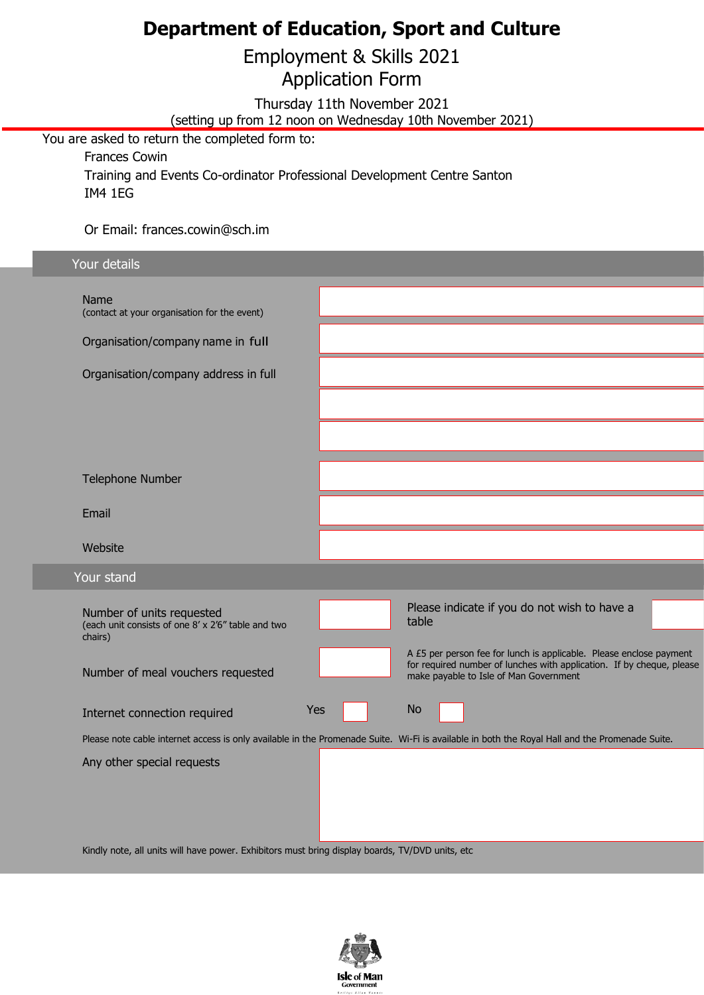## **Department of Education, Sport and Culture**

Employment & Skills 2021

Application Form

Thursday 11th November 2021

(setting up from 12 noon on Wednesday 10th November 2021)

You are asked to return the completed form to:

Frances Cowin Training and Events Co-ordinator Professional Development Centre Santon IM4 1EG

Or Email: frances.cowin@sch.im

| Your details                                                                                    |     |                                                                                                                                                |  |  |  |  |  |
|-------------------------------------------------------------------------------------------------|-----|------------------------------------------------------------------------------------------------------------------------------------------------|--|--|--|--|--|
|                                                                                                 |     |                                                                                                                                                |  |  |  |  |  |
| Name                                                                                            |     |                                                                                                                                                |  |  |  |  |  |
| (contact at your organisation for the event)                                                    |     |                                                                                                                                                |  |  |  |  |  |
| Organisation/company name in full                                                               |     |                                                                                                                                                |  |  |  |  |  |
| Organisation/company address in full                                                            |     |                                                                                                                                                |  |  |  |  |  |
|                                                                                                 |     |                                                                                                                                                |  |  |  |  |  |
|                                                                                                 |     |                                                                                                                                                |  |  |  |  |  |
|                                                                                                 |     |                                                                                                                                                |  |  |  |  |  |
| <b>Telephone Number</b>                                                                         |     |                                                                                                                                                |  |  |  |  |  |
| Email                                                                                           |     |                                                                                                                                                |  |  |  |  |  |
| Website                                                                                         |     |                                                                                                                                                |  |  |  |  |  |
| Your stand                                                                                      |     |                                                                                                                                                |  |  |  |  |  |
|                                                                                                 |     |                                                                                                                                                |  |  |  |  |  |
| Number of units requested<br>(each unit consists of one 8' x 2'6" table and two                 |     | Please indicate if you do not wish to have a<br>table                                                                                          |  |  |  |  |  |
| chairs)                                                                                         |     | A £5 per person fee for lunch is applicable. Please enclose payment                                                                            |  |  |  |  |  |
| Number of meal vouchers requested                                                               |     | for required number of lunches with application. If by cheque, please<br>make payable to Isle of Man Government                                |  |  |  |  |  |
|                                                                                                 |     |                                                                                                                                                |  |  |  |  |  |
| Internet connection required                                                                    | Yes | <b>No</b>                                                                                                                                      |  |  |  |  |  |
|                                                                                                 |     | Please note cable internet access is only available in the Promenade Suite. Wi-Fi is available in both the Royal Hall and the Promenade Suite. |  |  |  |  |  |
| Any other special requests                                                                      |     |                                                                                                                                                |  |  |  |  |  |
|                                                                                                 |     |                                                                                                                                                |  |  |  |  |  |
|                                                                                                 |     |                                                                                                                                                |  |  |  |  |  |
|                                                                                                 |     |                                                                                                                                                |  |  |  |  |  |
|                                                                                                 |     |                                                                                                                                                |  |  |  |  |  |
| Kindly note, all units will have power. Exhibitors must bring display boards, TV/DVD units, etc |     |                                                                                                                                                |  |  |  |  |  |